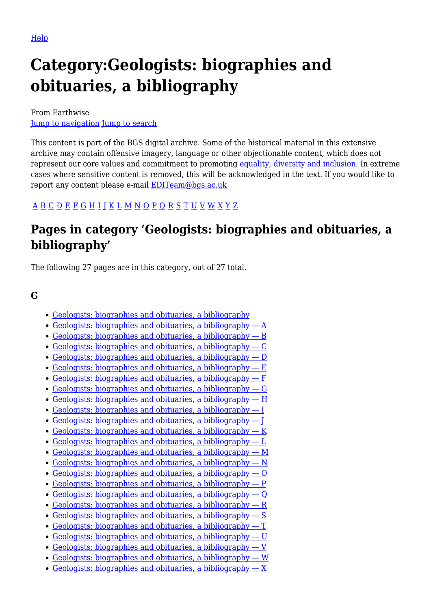# **Category:Geologists: biographies and obituaries, a bibliography**

From Earthwise [Jump to navigation](#page--1-0) [Jump to search](#page--1-0)

This content is part of the BGS digital archive. Some of the historical material in this extensive archive may contain offensive imagery, language or other objectionable content, which does not represent our core values and commitment to promoting [equality, diversity and inclusion.](https://www.bgs.ac.uk/about-bgs/working-with-us/equality-diversity-and-inclusion-edi/) In extreme cases where sensitive content is removed, this will be acknowledged in the text. If you would like to report any content please e-mail **[EDITeam@bgs.ac.uk](mailto:EDITeam@bgs.ac.uk)** 

## [A](http://earthwise.bgs.ac.uk/index.php/Geologists:_biographies_and_obituaries,_a_bibliography_%E2%80%94_A) [B](http://earthwise.bgs.ac.uk/index.php/Geologists:_biographies_and_obituaries,_a_bibliography_%E2%80%94_B) [C](http://earthwise.bgs.ac.uk/index.php/Geologists:_biographies_and_obituaries,_a_bibliography_%E2%80%94_C) [D](http://earthwise.bgs.ac.uk/index.php/Geologists:_biographies_and_obituaries,_a_bibliography_%E2%80%94_D) [E](http://earthwise.bgs.ac.uk/index.php/Geologists:_biographies_and_obituaries,_a_bibliography_%E2%80%94_E) [F](http://earthwise.bgs.ac.uk/index.php/Geologists:_biographies_and_obituaries,_a_bibliography_%E2%80%94_F) [G](http://earthwise.bgs.ac.uk/index.php/Geologists:_biographies_and_obituaries,_a_bibliography_%E2%80%94_G) [H](http://earthwise.bgs.ac.uk/index.php/Geologists:_biographies_and_obituaries,_a_bibliography_%E2%80%94_H) [I](http://earthwise.bgs.ac.uk/index.php/Geologists:_biographies_and_obituaries,_a_bibliography_%E2%80%94_I) [J](http://earthwise.bgs.ac.uk/index.php/Geologists:_biographies_and_obituaries,_a_bibliography_%E2%80%94_J) [K](http://earthwise.bgs.ac.uk/index.php/Geologists:_biographies_and_obituaries,_a_bibliography_%E2%80%94_K) [L](http://earthwise.bgs.ac.uk/index.php/Geologists:_biographies_and_obituaries,_a_bibliography_%E2%80%94_L) [M](http://earthwise.bgs.ac.uk/index.php/Geologists:_biographies_and_obituaries,_a_bibliography_%E2%80%94_M) [N](http://earthwise.bgs.ac.uk/index.php/Geologists:_biographies_and_obituaries,_a_bibliography_%E2%80%94_N) [O](http://earthwise.bgs.ac.uk/index.php/Geologists:_biographies_and_obituaries,_a_bibliography_%E2%80%94_O) [P](http://earthwise.bgs.ac.uk/index.php/Geologists:_biographies_and_obituaries,_a_bibliography_%E2%80%94_P) [Q](http://earthwise.bgs.ac.uk/index.php/Geologists:_biographies_and_obituaries,_a_bibliography_%E2%80%94_Q) [R](http://earthwise.bgs.ac.uk/index.php/Geologists:_biographies_and_obituaries,_a_bibliography_%E2%80%94_R) [S](http://earthwise.bgs.ac.uk/index.php/Geologists:_biographies_and_obituaries,_a_bibliography_%E2%80%94_S) [T](http://earthwise.bgs.ac.uk/index.php/Geologists:_biographies_and_obituaries,_a_bibliography_%E2%80%94_T) [U](http://earthwise.bgs.ac.uk/index.php/Geologists:_biographies_and_obituaries,_a_bibliography_%E2%80%94_U) [V](http://earthwise.bgs.ac.uk/index.php/Geologists:_biographies_and_obituaries,_a_bibliography_%E2%80%94_V) [W](http://earthwise.bgs.ac.uk/index.php/Geologists:_biographies_and_obituaries,_a_bibliography_%E2%80%94_W) [X](http://earthwise.bgs.ac.uk/index.php/Geologists:_biographies_and_obituaries,_a_bibliography_%E2%80%94_X) [Y](http://earthwise.bgs.ac.uk/index.php/Geologists:_biographies_and_obituaries,_a_bibliography_%E2%80%94_Y) [Z](http://earthwise.bgs.ac.uk/index.php/Geologists:_biographies_and_obituaries,_a_bibliography_%E2%80%94_Z)

# **Pages in category 'Geologists: biographies and obituaries, a bibliography'**

The following 27 pages are in this category, out of 27 total.

#### **G**

- [Geologists: biographies and obituaries, a bibliography](http://earthwise.bgs.ac.uk/index.php/Geologists:_biographies_and_obituaries,_a_bibliography)
- [Geologists: biographies and obituaries, a bibliography A](http://earthwise.bgs.ac.uk/index.php/Geologists:_biographies_and_obituaries,_a_bibliography_%E2%80%94_A)
- [Geologists: biographies and obituaries, a bibliography B](http://earthwise.bgs.ac.uk/index.php/Geologists:_biographies_and_obituaries,_a_bibliography_%E2%80%94_B)
- $\bullet$  Geologists: biographies and obituaries, a bibliography  $\sim$  C
- Geologists: biographies and obituaries, a bibliography  $D$
- [Geologists: biographies and obituaries, a bibliography E](http://earthwise.bgs.ac.uk/index.php/Geologists:_biographies_and_obituaries,_a_bibliography_%E2%80%94_E)
- [Geologists: biographies and obituaries, a bibliography F](http://earthwise.bgs.ac.uk/index.php/Geologists:_biographies_and_obituaries,_a_bibliography_%E2%80%94_F)
- [Geologists: biographies and obituaries, a bibliography G](http://earthwise.bgs.ac.uk/index.php/Geologists:_biographies_and_obituaries,_a_bibliography_%E2%80%94_G)
- [Geologists: biographies and obituaries, a bibliography H](http://earthwise.bgs.ac.uk/index.php/Geologists:_biographies_and_obituaries,_a_bibliography_%E2%80%94_H)
- [Geologists: biographies and obituaries, a bibliography I](http://earthwise.bgs.ac.uk/index.php/Geologists:_biographies_and_obituaries,_a_bibliography_%E2%80%94_I)
- [Geologists: biographies and obituaries, a bibliography J](http://earthwise.bgs.ac.uk/index.php/Geologists:_biographies_and_obituaries,_a_bibliography_%E2%80%94_J)
- [Geologists: biographies and obituaries, a bibliography K](http://earthwise.bgs.ac.uk/index.php/Geologists:_biographies_and_obituaries,_a_bibliography_%E2%80%94_K)
- [Geologists: biographies and obituaries, a bibliography L](http://earthwise.bgs.ac.uk/index.php/Geologists:_biographies_and_obituaries,_a_bibliography_%E2%80%94_L)
- [Geologists: biographies and obituaries, a bibliography M](http://earthwise.bgs.ac.uk/index.php/Geologists:_biographies_and_obituaries,_a_bibliography_%E2%80%94_M)
- Geologists: biographies and obituaries, a bibliography  $N$
- [Geologists: biographies and obituaries, a bibliography O](http://earthwise.bgs.ac.uk/index.php/Geologists:_biographies_and_obituaries,_a_bibliography_%E2%80%94_O)
- [Geologists: biographies and obituaries, a bibliography P](http://earthwise.bgs.ac.uk/index.php/Geologists:_biographies_and_obituaries,_a_bibliography_%E2%80%94_P)
- [Geologists: biographies and obituaries, a bibliography Q](http://earthwise.bgs.ac.uk/index.php/Geologists:_biographies_and_obituaries,_a_bibliography_%E2%80%94_Q)
- [Geologists: biographies and obituaries, a bibliography R](http://earthwise.bgs.ac.uk/index.php/Geologists:_biographies_and_obituaries,_a_bibliography_%E2%80%94_R)
- [Geologists: biographies and obituaries, a bibliography S](http://earthwise.bgs.ac.uk/index.php/Geologists:_biographies_and_obituaries,_a_bibliography_%E2%80%94_S)
- [Geologists: biographies and obituaries, a bibliography T](http://earthwise.bgs.ac.uk/index.php/Geologists:_biographies_and_obituaries,_a_bibliography_%E2%80%94_T)
- [Geologists: biographies and obituaries, a bibliography U](http://earthwise.bgs.ac.uk/index.php/Geologists:_biographies_and_obituaries,_a_bibliography_%E2%80%94_U)
- Geologists: biographies and obituaries, a bibliography  $-V$
- [Geologists: biographies and obituaries, a bibliography W](http://earthwise.bgs.ac.uk/index.php/Geologists:_biographies_and_obituaries,_a_bibliography_%E2%80%94_W)
- Geologists: biographies and obituaries, a bibliography  $X$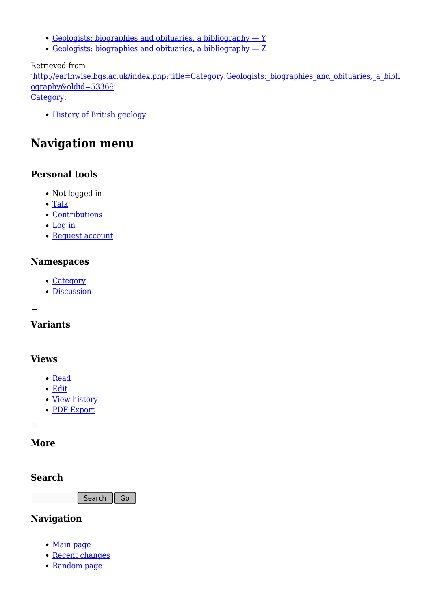- [Geologists: biographies and obituaries, a bibliography Y](http://earthwise.bgs.ac.uk/index.php/Geologists:_biographies_and_obituaries,_a_bibliography_%E2%80%94_Y)
- [Geologists: biographies and obituaries, a bibliography Z](http://earthwise.bgs.ac.uk/index.php/Geologists:_biographies_and_obituaries,_a_bibliography_%E2%80%94_Z)

#### Retrieved from

'[http://earthwise.bgs.ac.uk/index.php?title=Category:Geologists:\\_biographies\\_and\\_obituaries,\\_a\\_bibli](http://earthwise.bgs.ac.uk/index.php?title=Category:Geologists:_biographies_and_obituaries,_a_bibliography&oldid=53369) [ography&oldid=53369](http://earthwise.bgs.ac.uk/index.php?title=Category:Geologists:_biographies_and_obituaries,_a_bibliography&oldid=53369)'

[Category](http://earthwise.bgs.ac.uk/index.php/Special:Categories):

• [History of British geology](http://earthwise.bgs.ac.uk/index.php/Category:History_of_British_geology)

# **Navigation menu**

#### **Personal tools**

- Not logged in
- [Talk](http://earthwise.bgs.ac.uk/index.php/Special:MyTalk)
- [Contributions](http://earthwise.bgs.ac.uk/index.php/Special:MyContributions)
- [Log in](http://earthwise.bgs.ac.uk/index.php?title=Special:UserLogin&returnto=Category%3AGeologists%3A+biographies+and+obituaries%2C+a+bibliography&returntoquery=action%3Dmpdf)
- [Request account](http://earthwise.bgs.ac.uk/index.php/Special:RequestAccount)

#### **Namespaces**

- [Category](http://earthwise.bgs.ac.uk/index.php/Category:Geologists:_biographies_and_obituaries,_a_bibliography)
- [Discussion](http://earthwise.bgs.ac.uk/index.php?title=Category_talk:Geologists:_biographies_and_obituaries,_a_bibliography&action=edit&redlink=1)

 $\Box$ 

## **Variants**

#### **Views**

- [Read](http://earthwise.bgs.ac.uk/index.php/Category:Geologists:_biographies_and_obituaries,_a_bibliography)
- [Edit](http://earthwise.bgs.ac.uk/index.php?title=Category:Geologists:_biographies_and_obituaries,_a_bibliography&action=edit)
- [View history](http://earthwise.bgs.ac.uk/index.php?title=Category:Geologists:_biographies_and_obituaries,_a_bibliography&action=history)
- [PDF Export](http://earthwise.bgs.ac.uk/index.php?title=Category:Geologists:_biographies_and_obituaries,_a_bibliography&action=mpdf)

 $\Box$ 

#### **More**

#### **Search**

Search Go

### **Navigation**

- [Main page](http://earthwise.bgs.ac.uk/index.php/Main_Page)
- [Recent changes](http://earthwise.bgs.ac.uk/index.php/Special:RecentChanges)
- [Random page](http://earthwise.bgs.ac.uk/index.php/Special:Random)